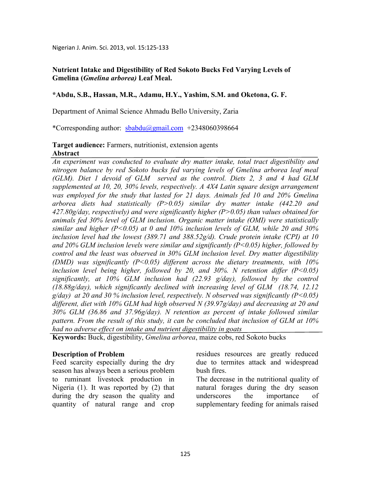Nigerian J. Anim. Sci. 2013, vol. 15:125-133

## **Nutrient Intake and Digestibility of Red Sokoto Bucks Fed Varying Levels of Gmelina (***Gmelina arborea)* **Leaf Meal.**

## **\*Abdu, S.B., Hassan, M.R., Adamu, H.Y., Yashim, S.M. and Oketona, G. F.**

Department of Animal Science Ahmadu Bello University, Zaria

\*Corresponding author: sbabdu@gmail.com +2348060398664

## **Target audience:** Farmers, nutritionist, extension agents **Abstract**

*An experiment was conducted to evaluate dry matter intake, total tract digestibility and nitrogen balance by red Sokoto bucks fed varying levels of Gmelina arborea leaf meal (GLM). Diet 1 devoid of GLM served as the control. Diets 2, 3 and 4 had GLM supplemented at 10, 20, 30% levels, respectively. A 4X4 Latin square design arrangement was employed for the study that lasted for 21 days. Animals fed 10 and 20% Gmelina arborea diets had statistically (P>0.05) similar dry matter intake (442.20 and 427.80g/day, respectively) and were significantly higher (P>0.05) than values obtained for animals fed 30% level of GLM inclusion. Organic matter intake (OMI) were statistically similar and higher (P<0.05) at 0 and 10% inclusion levels of GLM, while 20 and 30% inclusion level had the lowest (389.71 and 388.52g/d). Crude protein intake (CPI) at 10 and 20% GLM inclusion levels were similar and significantly (P<0.05) higher, followed by control and the least was observed in 30% GLM inclusion level. Dry matter digestibility (DMD) was significantly (P<0.05) different across the dietary treatments, with 10% inclusion level being higher, followed by 20, and 30%. N retention differ*  $(P<0.05)$ *significantly, at 10% GLM inclusion had (22.93 g/day), followed by the control (18.88g/day), which significantly declined with increasing level of GLM (18.74, 12.12 g/day) at 20 and 30 % inclusion level, respectively. observed was significantly (P<0.05)*  different, diet with 10% GLM had high observed N (39.97g/day) and decreasing at 20 and *30% GLM (36.86 and 37.96g/day). retention as percent of intake followed similar pattern. From the result of this study, it can be concluded that inclusion of GLM at 10% had no adverse effect on intake and nutrient digestibility in goats* 

**Keywords:** Buck, digestibility, *Gmelina arborea*, maize cobs, red Sokoto bucks

### **Description of Problem**

Feed scarcity especially during the dry season has always been a serious problem to ruminant livestock production in Nigeria (1). It was reported by (2) that during the dry season the quality and quantity of natural range and crop residues resources are greatly reduced due to termites attack and widespread bush fires.

The decrease in the nutritional quality of natural forages during the dry season underscores the importance of supplementary feeding for animals raised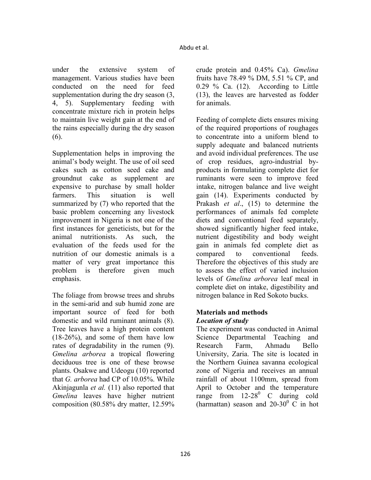under the extensive system of management. Various studies have been conducted on the need for feed supplementation during the dry season (3, 4, 5). Supplementary feeding with concentrate mixture rich in protein helps to maintain live weight gain at the end of the rains especially during the dry season (6).

Supplementation helps in improving the animal's body weight. The use of oil seed cakes such as cotton seed cake and groundnut cake as supplement are expensive to purchase by small holder farmers. This situation is well summarized by  $(7)$  who reported that the basic problem concerning any livestock improvement in Nigeria is not one of the first instances for geneticists, but for the animal nutritionists. As such, the evaluation of the feeds used for the nutrition of our domestic animals is a matter of very great importance this problem is therefore given much emphasis.

The foliage from browse trees and shrubs in the semi-arid and sub humid zone are important source of feed for both domestic and wild ruminant animals (8). Tree leaves have a high protein content (18-26%), and some of them have low rates of degradability in the rumen (9). *Gmelina arborea* a tropical flowering deciduous tree is one of these browse plants. Osakwe and Udeogu (10) reported that *G. arborea* had CP of 10.05%. While Akinjagunla *et al.* (11) also reported that *Gmelina* leaves have higher nutrient composition (80.58% dry matter, 12.59%

crude protein and 0.45% Ca). *Gmelina* fruits have 78.49 % DM, 5.51 % CP, and 0.29 % Ca. (12). According to Little (13), the leaves are harvested as fodder for animals.

Feeding of complete diets ensures mixing of the required proportions of roughages to concentrate into a uniform blend to supply adequate and balanced nutrients and avoid individual preferences. The use of crop residues, agro-industrial byproducts in formulating complete diet for ruminants were seen to improve feed intake, nitrogen balance and live weight gain (14). Experiments conducted by Prakash *et al*., (15) to determine the performances of animals fed complete diets and conventional feed separately, showed significantly higher feed intake, nutrient digestibility and body weight gain in animals fed complete diet as compared to conventional feeds. Therefore the objectives of this study are to assess the effect of varied inclusion levels of *Gmelina arborea* leaf meal in complete diet on intake, digestibility and nitrogen balance in Red Sokoto bucks.

## **Materials and methods**  *Location of study*

The experiment was conducted in Animal Science Departmental Teaching and Research Farm, Ahmadu Bello University, Zaria. The site is located in the Northern Guinea savanna ecological zone of Nigeria and receives an annual rainfall of about 1100mm, spread from April to October and the temperature range from  $12-28^0$  C during cold (harmattan) season and  $20-30$ <sup>0</sup> C in hot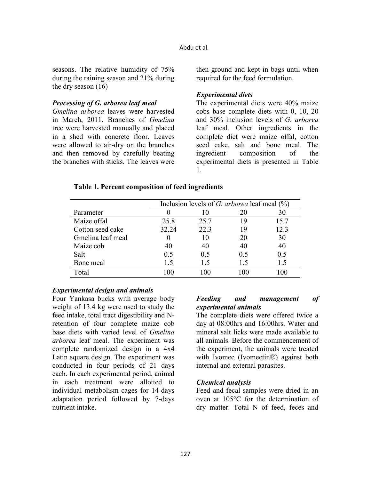seasons. The relative humidity of 75% during the raining season and 21% during the dry season (16)

# *Processing of G. arborea leaf meal*

*Gmelina arborea* leaves were harvested in March, 2011. Branches of *Gmelina* tree were harvested manually and placed in a shed with concrete floor. Leaves were allowed to air-dry on the branches and then removed by carefully beating the branches with sticks. The leaves were

then ground and kept in bags until when required for the feed formulation.

# *Experimental diets*

The experimental diets were 40% maize cobs base complete diets with 0, 10, 20 and 30% inclusion levels of *G. arborea* leaf meal. Other ingredients in the complete diet were maize offal, cotton seed cake, salt and bone meal. The ingredient composition of the experimental diets is presented in Table 1.

## **Table 1. Percent composition of feed ingredients**

|                   | Inclusion levels of G. arborea leaf meal $(\%)$ |      |                |      |  |  |
|-------------------|-------------------------------------------------|------|----------------|------|--|--|
| Parameter         |                                                 |      | 20             | 30   |  |  |
| Maize offal       | 25.8                                            | 25.7 | 19             | 15.7 |  |  |
| Cotton seed cake  | 32.24                                           | 22.3 | 19             | 12.3 |  |  |
| Gmelina leaf meal |                                                 | 10   | 20             | 30   |  |  |
| Maize cob         | 40                                              | 40   | 40             | 40   |  |  |
| Salt              | 0.5                                             | 0.5  | 0.5            | 0.5  |  |  |
| Bone meal         | 1.5                                             | 15   | 1.5            | 1.5  |  |  |
| Total             | .00                                             | 100  | 0 <sup>0</sup> | 100  |  |  |

## *Experimental design and animals*

Four Yankasa bucks with average body weight of 13.4 kg were used to study the feed intake, total tract digestibility and Nretention of four complete maize cob base diets with varied level of *Gmelina arborea* leaf meal. The experiment was complete randomized design in a 4x4 Latin square design. The experiment was conducted in four periods of 21 days each. In each experimental period, animal in each treatment were allotted to individual metabolism cages for 14-days adaptation period followed by 7-days nutrient intake.

## *Feeding and management of experimental animals*

The complete diets were offered twice a day at 08:00hrs and 16:00hrs. Water and mineral salt licks were made available to all animals. Before the commencement of the experiment, the animals were treated with Ivomec (Ivomectin<sup>®</sup>) against both internal and external parasites.

## *Chemical analysis*

Feed and fecal samples were dried in an oven at 105°C for the determination of dry matter. Total N of feed, feces and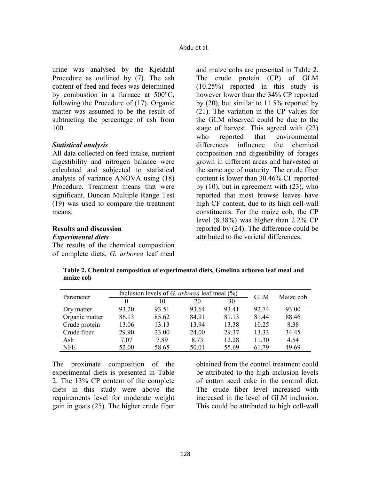urine was analysed by the Kjeldahl Procedure as outlined by (7). The ash content of feed and feces was determined by combustion in a furnace at 500°C, following the Procedure of (17). Organic matter was assumed to be the result of subtracting the percentage of ash from 100.

### *Statistical analysis*

All data collected on feed intake, nutrient digestibility and nitrogen balance were calculated and subjected to statistical analysis of variance ANOVA using (18) Procedure. Treatment means that were significant, Duncan Multiple Range Test (19) was used to compare the treatment means.

## **Results and discussion**  *Experimental diets*

The results of the chemical composition of complete diets, *G. arborea* leaf meal

and maize cobs are presented in Table 2. The crude protein (CP) of GLM (10.25%) reported in this study is however lower than the 34% CP reported by (20), but similar to 11.5% reported by (21). The variation in the CP values for the GLM observed could be due to the stage of harvest. This agreed with (22) who reported that environmental differences influence the chemical composition and digestibility of forages grown in different areas and harvested at the same age of maturity. The crude fiber content is lower than 30.46% CF reported by (10), but in agreement with (23), who reported that most browse leaves have high CF content, due to its high cell-wall constituents. For the maize cob, the CP level (8.38%) was higher than 2.2% CP reported by (24). The difference could be attributed to the varietal differences.

**Table 2. Chemical composition of experimental diets, Gmelina arborea leaf meal and maize cob** 

|                |       | Inclusion levels of G. arborea leaf meal $(\%)$ |       |       |            |           |
|----------------|-------|-------------------------------------------------|-------|-------|------------|-----------|
| Parameter      |       | 10                                              | 20    | 30    | <b>GLM</b> | Maize cob |
| Dry matter     | 93.20 | 93.51                                           | 93.64 | 93.41 | 92 74      | 93.00     |
| Organic matter | 86.13 | 85.62                                           | 84.91 | 81.13 | 81.44      | 88.46     |
| Crude protein  | 13.06 | 13.13                                           | 13.94 | 13.38 | 10.25      | 8.38      |
| Crude fiber    | 29.90 | 23.00                                           | 24.00 | 29 37 | 13.33      | 34.45     |
| Ash            | 7.07  | 789                                             | 8.73  | 12.28 | 11.30      | 4.54      |
| <b>NFE</b>     | 52.00 | 58.65                                           | 50.01 | 55.69 | 61 79      | 49.69     |

The proximate composition of the experimental diets is presented in Table 2. The 13% CP content of the complete diets in this study were above the requirements level for moderate weight gain in goats (25). The higher crude fiber

obtained from the control treatment could be attributed to the high inclusion levels of cotton seed cake in the control diet. The crude fiber level increased with increased in the level of GLM inclusion. This could be attributed to high cell-wall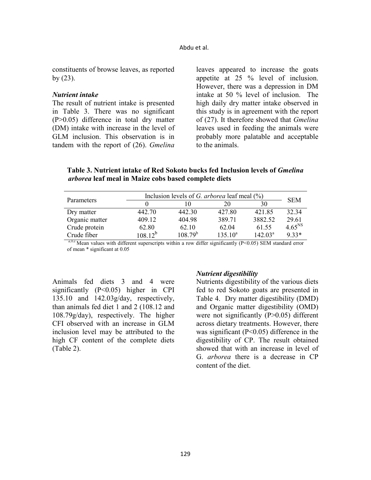#### Abdu et al.

constituents of browse leaves, as reported by (23).

#### *Nutrient intake*

The result of nutrient intake is presented in Table 3. There was no significant (P>0.05) difference in total dry matter (DM) intake with increase in the level of GLM inclusion. This observation is in tandem with the report of (26). *Gmelina* leaves appeared to increase the goats appetite at 25 % level of inclusion. However, there was a depression in DM intake at 50 % level of inclusion. The high daily dry matter intake observed in this study is in agreement with the report of (27). It therefore showed that *Gmelina*  leaves used in feeding the animals were probably more palatable and acceptable to the animals.

Table 3. Nutrient intake of Red Sokoto bucks fed Inclusion levels of *Gmelina arborea* **leaf meal in Maize cobs based complete diets** 

| Parameters     | Inclusion levels of G. arborea leaf meal $(\%)$ |              |            |                  |             |
|----------------|-------------------------------------------------|--------------|------------|------------------|-------------|
|                |                                                 | 10           | 20         | 30               | <b>SEM</b>  |
| Dry matter     | 442.70                                          | 442.30       | 427.80     | 421.85           | 32.34       |
| Organic matter | 409.12                                          | 404.98       | 389.71     | 3882.52          | 29.61       |
| Crude protein  | 62.80                                           | 62.10        | 62.04      | 61.55            | $4.65^{NS}$ |
| Crude fiber    | $108.12^{b}$                                    | $108.79^{b}$ | $135.10^a$ | $142.03^{\rm a}$ | 9.33*       |

 $a,b,c$  Mean values with different superscripts within a row differ significantly (P<0.05) SEM standard error of mean \* significant at 0.05

Animals fed diets 3 and 4 were significantly (P<0.05) higher in CPI 135.10 and 142.03g/day, respectively, than animals fed diet 1 and 2 (108.12 and 108.79g/day), respectively. The higher CFI observed with an increase in GLM inclusion level may be attributed to the high CF content of the complete diets (Table 2).

### $\mu$ *Nutrient digestibility*

Nutrients digestibility of the various diets fed to red Sokoto goats are presented in Table 4. Dry matter digestibility (DMD) and Organic matter digestibility (OMD) were not significantly (P>0.05) different across dietary treatments. However, there was significant ( $P<0.05$ ) difference in the digestibility of CP. The result obtained showed that with an increase in level of G. *arborea* there is a decrease in CP content of the diet.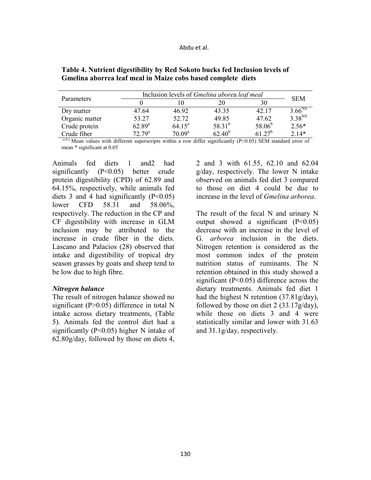| Parameters     | Inclusion levels of <i>Gmelina aborea leaf meal</i> | <b>SEM</b>         |             |             |                    |
|----------------|-----------------------------------------------------|--------------------|-------------|-------------|--------------------|
|                |                                                     | . 0                | 20          | 30          |                    |
| Dry matter     | 47.64                                               | 46.92              | 43.35       | 42.17       | 3.66 <sup>NS</sup> |
| Organic matter | 53.27                                               | 52.72              | 49.85       | 47.62       | $3.38^{NS}$        |
| Crude protein  | $62.89^{a}$                                         | $64.15^a$          | $58.31^{b}$ | $58.06^{b}$ | $2.56*$            |
| Crude fiber    | 72.79 <sup>a</sup>                                  | 70.09 <sup>a</sup> | $62.40^{b}$ | $61.27^b$   | $2.14*$            |

Table 4. Nutrient digestibility by Red Sokoto bucks fed Inclusion levels of **Gmelina aborrea leaf meal in Maize cobs based complete diets** 

 $a,b,c$  Mean values with different superscripts within a row differ significantly (P<0.05) SEM standard error of mean \* significant at 0.05

Animals fed diets 1 and2 had significantly (P<0.05) better crude protein digestibility (CPD) of 62.89 and 64.15%, respectively, while animals fed diets 3 and 4 had significantly  $(P<0.05)$ lower CFD 58.31 and 58.06%, respectively. The reduction in the CP and CF digestibility with increase in GLM inclusion may be attributed to the increase in crude fiber in the diets. Lascano and Palacios (28) observed that intake and digestibility of tropical dry season grasses by goats and sheep tend to be low due to high fibre.

### *Nitrogen balance*

The result of nitrogen balance showed no significant (P>0.05) difference in total N intake across dietary treatments, (Table 5). Animals fed the control diet had a significantly  $(P<0.05)$  higher N intake of 62.80g/day, followed by those on diets 4,

2 and 3 with 61.55, 62.10 and 62.04 g/day, respectively. The lower N intake observed on animals fed diet 3 compared to those on diet 4 could be due to increase in the level of *Gmelina arborea*.

The result of the fecal N and urinary N output showed a significant  $(P<0.05)$ decrease with an increase in the level of G. *arborea* inclusion in the diets. Nitrogen retention is considered as the most common index of the protein nutrition status of ruminants. The N retention obtained in this study showed a significant (P<0.05) difference across the dietary treatments. Animals fed diet 1 had the highest N retention (37.81g/day), followed by those on diet 2 (33.17g/day), while those on diets 3 and 4 were statistically similar and lower with 31.63 and 31.1g/day, respectively.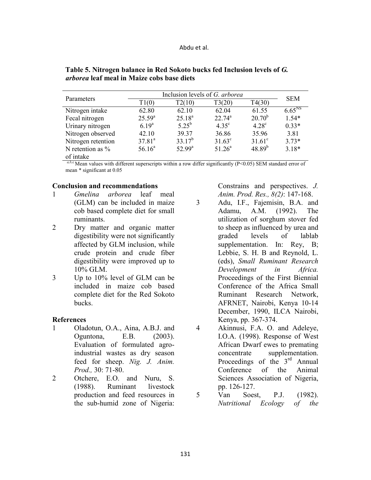| Parameters          | Inclusion levels of G. arborea | <b>SEM</b>  |                |              |                    |
|---------------------|--------------------------------|-------------|----------------|--------------|--------------------|
|                     | T1(0)                          | T2(10)      | T3(20)         | T4(30)       |                    |
| Nitrogen intake     | 62.80                          | 62.10       | 62.04          | 61.55        | 6.65 <sup>NS</sup> |
| Fecal nitrogen      | $25.59^{a}$                    | $25.18^{a}$ | $22.74^a$      | $20.70^{b}$  | $1.54*$            |
| Urinary nitrogen    | $6.19^{a}$                     | $5.25^{b}$  | $4.35^{\circ}$ | $4.28^\circ$ | $0.33*$            |
| Nitrogen observed   | 42.10                          | 39.37       | 36.86          | 35.96        | 3.81               |
| Nitrogen retention  | $37.81^{a}$                    | $33.17^b$   | $31.63^c$      | $31.61^c$    | $3.73*$            |
| N retention as $\%$ | 56.16 <sup>a</sup>             | $52.99^a$   | $51.26^a$      | $48.89^{b}$  | $3.18*$            |
| of intake           |                                |             |                |              |                    |

Table 5. Nitrogen balance in Red Sokoto bucks fed Inclusion levels of G. *arborea* **leaf meal in Maize cobs base diets** 

a,b,c Mean values with different superscripts within a row differ significantly (P<0.05) SEM standard error of mean \* significant at 0.05

### **Conclusion and recommendations**

- 1 *Gmelina arborea* leaf meal (GLM) can be included in maize cob based complete diet for small ruminants.
- 2 Dry matter and organic matter digestibility were not significantly affected by GLM inclusion, while crude protein and crude fiber digestibility were improved up to 10% GLM.
- 3 Up to 10% level of GLM can be included in maize cob based complete diet for the Red Sokoto bucks.

### **References**

- 1 Oladotun, O.A., Aina, A.B.J. and Oguntona, E.B. (2003). Evaluation of formulated agroindustrial wastes as dry season feed for sheep. *Nig. J. Anim. Prod.,* 30: 71-80.
- 2 Otchere, E.O. and Nuru, S. (1988). Ruminant livestock production and feed resources in the sub-humid zone of Nigeria:

Constrains and perspectives. *J. Anim. Prod. Res., 8(2)*: 147-168.

- 3 Adu, I.F., Fajemisin, B.A. and Adamu, A.M. (1992). The utilization of sorghum stover fed to sheep as influenced by urea and graded levels of lablab supplementation. In: Rey, B; Lebbie, S. H. B and Reynold, L. (eds), *Small Ruminant Research Development in Africa.* Proceedings of the First Biennial Conference of the Africa Small Ruminant Research Network, AFRNET, Nairobi, Kenya 10-14 December, 1990, ILCA Nairobi, Kenya, pp. 367-374.
- 4 Akinnusi, F.A. O. and Adeleye, I.O.A. (1998). Response of West African Dwarf ewes to premating concentrate supplementation. Proceedings of the  $3<sup>rd</sup>$  Annual Conference of the Animal Sciences Association of Nigeria, pp. 126-127.
- 5 Van Soest, P.J. (1982). *utritional Ecology of the*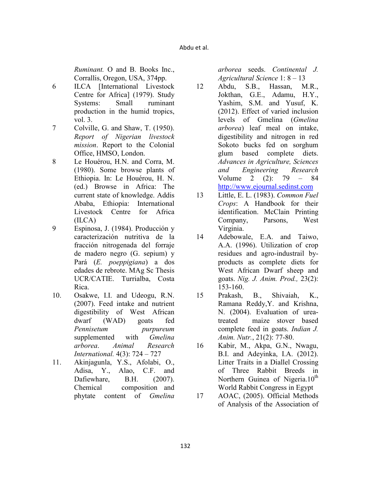*Ruminant.* O and B. Books Inc., Corrallis, Oregon, USA, 374pp.

- 6 ILCA [International Livestock Centre for Africa] (1979). Study Systems: Small ruminant production in the humid tropics, vol. 3.
- 7 Colville, G. and Shaw, T. (1950). *Report of igerian livestock mission*. Report to the Colonial Office, HMSO, London.
- 8 Le Houérou, H.N. and Corra, M. (1980). Some browse plants of Ethiopia. In: Le Houérou, H. N. (ed.) Browse in Africa: The current state of knowledge. Addis Ababa, Ethiopia: International Livestock Centre for Africa (ILCA)
- 9 Espinosa, J. (1984). Producción y caracterización nutritiva de la fracción nitrogenada del forraje de madero negro (G. sepium) y Pará (*E. poeppigiana*) a dos edades de rebrote. MAg Sc Thesis UCR/CATIE. Turrialba, Costa Rica.
- 10. Osakwe, I.I. and Udeogu, R.N. (2007). Feed intake and nutrient digestibility of West African dwarf (WAD) goats fed *Pennisetum purpureum* supplemented with *Gmelina arborea*. *Animal Research International.* 4(3): 724 – 727
- 11. Akinjagunla, Y.S., Afolabi, O., Adisa, Y., Alao, C.F. and Dafiewhare, B.H. (2007). Chemical composition and phytate content of *Gmelina*

*arborea* seeds. *Continental J. Agricultural Science* 1: 8 – 13

- 12 Abdu, S.B., Hassan, M.R., Jokthan, G.E., Adamu, H.Y., Yashim, S.M. and Yusuf, K. (2012). Effect of varied inclusion levels of Gmelina (*Gmelina arborea*) leaf meal on intake, digestibility and nitrogen in red Sokoto bucks fed on sorghum glum based complete diets. *Advances in Agriculture, Sciences and Engineering Research* Volume 2 (2): 79 – 84 http://www.ejournal.sedinst.com
- 13 Little, E. L. (1983). *Common Fuel Crops*: A Handbook for their identification. McClain Printing Company, Parsons, West Virginia.
- 14 Adebowale, E.A. and Taiwo, A.A. (1996). Utilization of crop residues and agro-industrail byproducts as complete diets for West African Dwarf sheep and goats. *ig. J. Anim. Prod.,* 23(2): 153-160.
- 15 Prakash, B., Shivaiah, K., Ramana Reddy,Y. and Krishna, N. (2004). Evaluation of ureatreated maize stover based complete feed in goats. *Indian J. Anim. Nutr.*, 21(2): 77-80.
- 16 Kabir, M., Akpa, G.N., Nwagu, B.I. and Adeyinka, I.A. (2012). Litter Traits in a Diallel Crossing of Three Rabbit Breeds in Northern Guinea of Nigeria.10<sup>th</sup> World Rabbit Congress in Egypt
- 17 AOAC, (2005). Official Methods of Analysis of the Association of